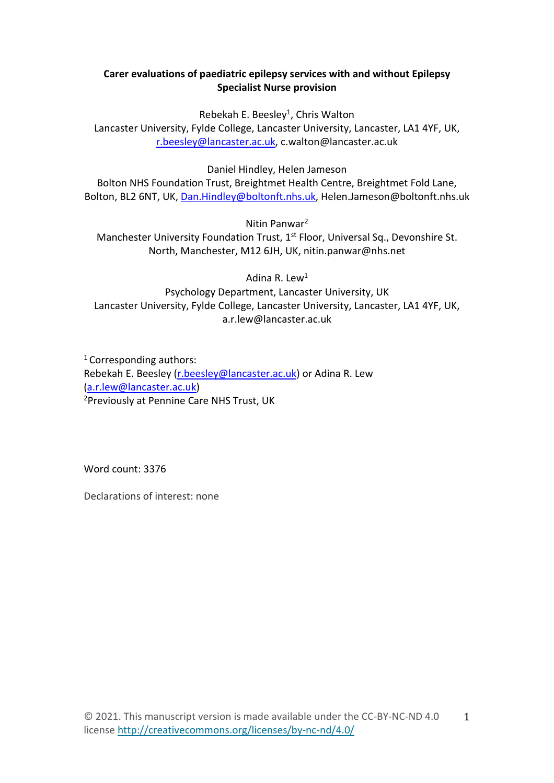# **Carer evaluations of paediatric epilepsy services with and without Epilepsy Specialist Nurse provision**

Rebekah E. Beesley<sup>1</sup>, Chris Walton

Lancaster University, Fylde College, Lancaster University, Lancaster, LA1 4YF, UK, [r.beesley@lancaster.ac.uk,](mailto:r.beesley@lancaster.ac.uk) c.walton@lancaster.ac.uk

Daniel Hindley, Helen Jameson

Bolton NHS Foundation Trust, Breightmet Health Centre, Breightmet Fold Lane, Bolton, BL2 6NT, UK, [Dan.Hindley@boltonft.nhs.uk,](mailto:Dan.Hindley@boltonft.nhs.uk) Helen.Jameson@boltonft.nhs.uk

Nitin Panwar2

Manchester University Foundation Trust, 1<sup>st</sup> Floor, Universal Sq., Devonshire St. North, Manchester, M12 6JH, UK, nitin.panwar@nhs.net

Adina R. Lew $<sup>1</sup>$ </sup>

Psychology Department, Lancaster University, UK Lancaster University, Fylde College, Lancaster University, Lancaster, LA1 4YF, UK, a.r.lew@lancaster.ac.uk

1 Corresponding authors: Rebekah E. Beesley [\(r.beesley@lancaster.ac.uk\)](mailto:r.beesley@lancaster.ac.uk) or Adina R. Lew [\(a.r.lew@lancaster.ac.uk\)](mailto:a.r.lew@lancaster.ac.uk) 2Previously at Pennine Care NHS Trust, UK

Word count: 3376

Declarations of interest: none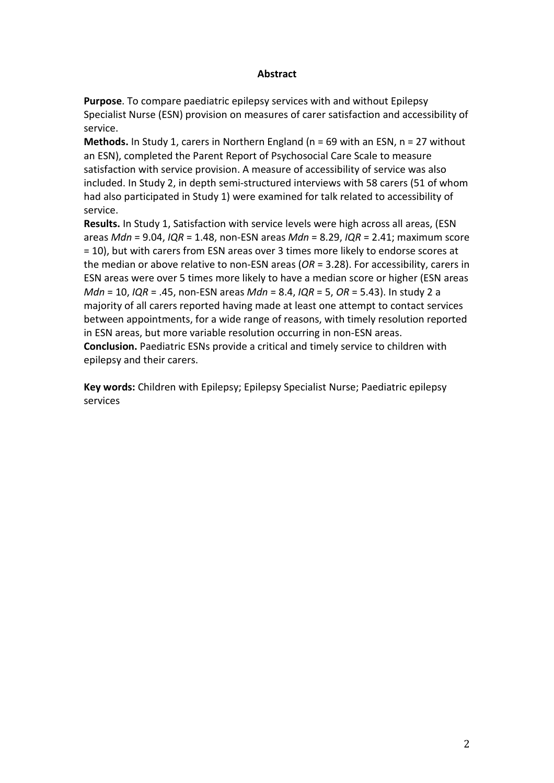## **Abstract**

**Purpose**. To compare paediatric epilepsy services with and without Epilepsy Specialist Nurse (ESN) provision on measures of carer satisfaction and accessibility of service.

**Methods.** In Study 1, carers in Northern England (n = 69 with an ESN, n = 27 without an ESN), completed the Parent Report of Psychosocial Care Scale to measure satisfaction with service provision. A measure of accessibility of service was also included. In Study 2, in depth semi-structured interviews with 58 carers (51 of whom had also participated in Study 1) were examined for talk related to accessibility of service.

**Results.** In Study 1, Satisfaction with service levels were high across all areas, (ESN areas *Mdn* = 9.04, *IQR* = 1.48, non-ESN areas *Mdn* = 8.29, *IQR* = 2.41; maximum score = 10), but with carers from ESN areas over 3 times more likely to endorse scores at the median or above relative to non-ESN areas (*OR* = 3.28). For accessibility, carers in ESN areas were over 5 times more likely to have a median score or higher (ESN areas *Mdn* = 10, *IQR* = .45, non-ESN areas *Mdn* = 8.4, *IQR* = 5, *OR* = 5.43). In study 2 a majority of all carers reported having made at least one attempt to contact services between appointments, for a wide range of reasons, with timely resolution reported in ESN areas, but more variable resolution occurring in non-ESN areas. **Conclusion.** Paediatric ESNs provide a critical and timely service to children with epilepsy and their carers.

**Key words:** Children with Epilepsy; Epilepsy Specialist Nurse; Paediatric epilepsy services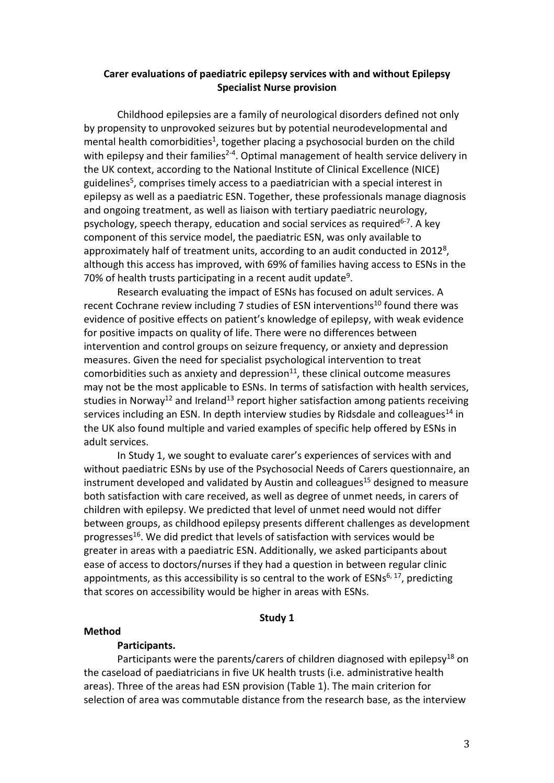## **Carer evaluations of paediatric epilepsy services with and without Epilepsy Specialist Nurse provision**

Childhood epilepsies are a family of neurological disorders defined not only by propensity to unprovoked seizures but by potential neurodevelopmental and mental health comorbidities<sup>1</sup>, together placing a psychosocial burden on the child with epilepsy and their families<sup>2-4</sup>. Optimal management of health service delivery in the UK context, according to the National Institute of Clinical Excellence (NICE) guidelines<sup>5</sup>, comprises timely access to a paediatrician with a special interest in epilepsy as well as a paediatric ESN. Together, these professionals manage diagnosis and ongoing treatment, as well as liaison with tertiary paediatric neurology, psychology, speech therapy, education and social services as required<sup>6-7</sup>. A key component of this service model, the paediatric ESN, was only available to approximately half of treatment units, according to an audit conducted in 2012<sup>8</sup>, although this access has improved, with 69% of families having access to ESNs in the 70% of health trusts participating in a recent audit update<sup>9</sup>.

Research evaluating the impact of ESNs has focused on adult services. A recent Cochrane review including 7 studies of ESN interventions<sup>10</sup> found there was evidence of positive effects on patient's knowledge of epilepsy, with weak evidence for positive impacts on quality of life. There were no differences between intervention and control groups on seizure frequency, or anxiety and depression measures. Given the need for specialist psychological intervention to treat comorbidities such as anxiety and depression $11$ , these clinical outcome measures may not be the most applicable to ESNs. In terms of satisfaction with health services, studies in Norway<sup>12</sup> and Ireland<sup>13</sup> report higher satisfaction among patients receiving services including an ESN. In depth interview studies by Ridsdale and colleagues<sup>14</sup> in the UK also found multiple and varied examples of specific help offered by ESNs in adult services.

In Study 1, we sought to evaluate carer's experiences of services with and without paediatric ESNs by use of the Psychosocial Needs of Carers questionnaire, an instrument developed and validated by Austin and colleagues<sup>15</sup> designed to measure both satisfaction with care received, as well as degree of unmet needs, in carers of children with epilepsy. We predicted that level of unmet need would not differ between groups, as childhood epilepsy presents different challenges as development progresses<sup>16</sup>. We did predict that levels of satisfaction with services would be greater in areas with a paediatric ESN. Additionally, we asked participants about ease of access to doctors/nurses if they had a question in between regular clinic appointments, as this accessibility is so central to the work of  $ESNs^{6, 17}$ , predicting that scores on accessibility would be higher in areas with ESNs.

#### **Study 1**

#### **Method**

## **Participants.**

Participants were the parents/carers of children diagnosed with epilepsy<sup>18</sup> on the caseload of paediatricians in five UK health trusts (i.e. administrative health areas). Three of the areas had ESN provision (Table 1). The main criterion for selection of area was commutable distance from the research base, as the interview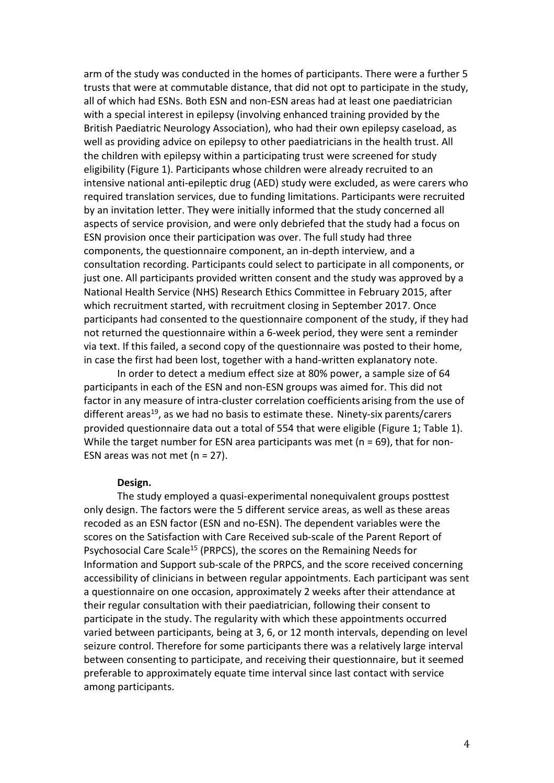arm of the study was conducted in the homes of participants. There were a further 5 trusts that were at commutable distance, that did not opt to participate in the study, all of which had ESNs. Both ESN and non-ESN areas had at least one paediatrician with a special interest in epilepsy (involving enhanced training provided by the British Paediatric Neurology Association), who had their own epilepsy caseload, as well as providing advice on epilepsy to other paediatricians in the health trust. All the children with epilepsy within a participating trust were screened for study eligibility (Figure 1). Participants whose children were already recruited to an intensive national anti-epileptic drug (AED) study were excluded, as were carers who required translation services, due to funding limitations. Participants were recruited by an invitation letter. They were initially informed that the study concerned all aspects of service provision, and were only debriefed that the study had a focus on ESN provision once their participation was over. The full study had three components, the questionnaire component, an in-depth interview, and a consultation recording. Participants could select to participate in all components, or just one. All participants provided written consent and the study was approved by a National Health Service (NHS) Research Ethics Committee in February 2015, after which recruitment started, with recruitment closing in September 2017. Once participants had consented to the questionnaire component of the study, if they had not returned the questionnaire within a 6-week period, they were sent a reminder via text. If this failed, a second copy of the questionnaire was posted to their home, in case the first had been lost, together with a hand-written explanatory note.

In order to detect a medium effect size at 80% power, a sample size of 64 participants in each of the ESN and non-ESN groups was aimed for. This did not factor in any measure of intra-cluster correlation coefficients arising from the use of different areas<sup>19</sup>, as we had no basis to estimate these. Ninety-six parents/carers provided questionnaire data out a total of 554 that were eligible (Figure 1; Table 1). While the target number for ESN area participants was met (n = 69), that for non-ESN areas was not met (n = 27).

## **Design.**

The study employed a quasi-experimental nonequivalent groups posttest only design. The factors were the 5 different service areas, as well as these areas recoded as an ESN factor (ESN and no-ESN). The dependent variables were the scores on the Satisfaction with Care Received sub-scale of the Parent Report of Psychosocial Care Scale<sup>15</sup> (PRPCS), the scores on the Remaining Needs for Information and Support sub-scale of the PRPCS, and the score received concerning accessibility of clinicians in between regular appointments. Each participant was sent a questionnaire on one occasion, approximately 2 weeks after their attendance at their regular consultation with their paediatrician, following their consent to participate in the study. The regularity with which these appointments occurred varied between participants, being at 3, 6, or 12 month intervals, depending on level seizure control. Therefore for some participants there was a relatively large interval between consenting to participate, and receiving their questionnaire, but it seemed preferable to approximately equate time interval since last contact with service among participants.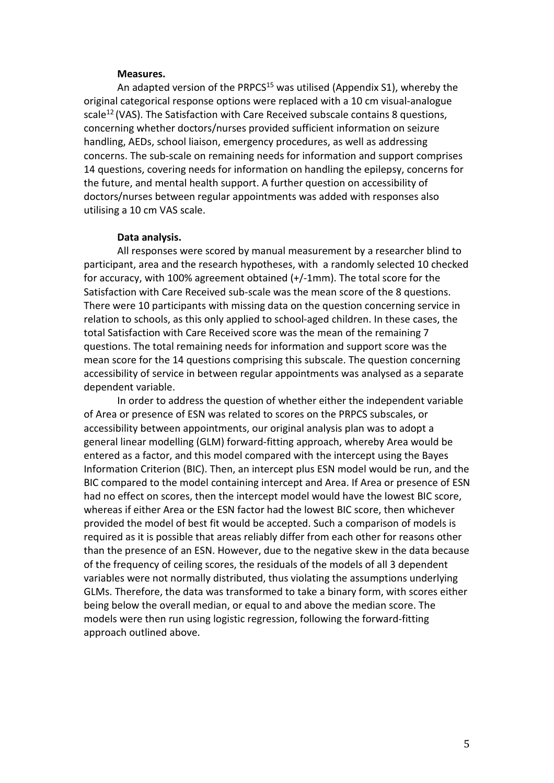## **Measures.**

An adapted version of the PRPCS $15$  was utilised (Appendix S1), whereby the original categorical response options were replaced with a 10 cm visual-analogue scale<sup>12</sup> (VAS). The Satisfaction with Care Received subscale contains 8 questions, concerning whether doctors/nurses provided sufficient information on seizure handling, AEDs, school liaison, emergency procedures, as well as addressing concerns. The sub-scale on remaining needs for information and support comprises 14 questions, covering needs for information on handling the epilepsy, concerns for the future, and mental health support. A further question on accessibility of doctors/nurses between regular appointments was added with responses also utilising a 10 cm VAS scale.

## **Data analysis.**

All responses were scored by manual measurement by a researcher blind to participant, area and the research hypotheses, with a randomly selected 10 checked for accuracy, with 100% agreement obtained (+/-1mm). The total score for the Satisfaction with Care Received sub-scale was the mean score of the 8 questions. There were 10 participants with missing data on the question concerning service in relation to schools, as this only applied to school-aged children. In these cases, the total Satisfaction with Care Received score was the mean of the remaining 7 questions. The total remaining needs for information and support score was the mean score for the 14 questions comprising this subscale. The question concerning accessibility of service in between regular appointments was analysed as a separate dependent variable.

In order to address the question of whether either the independent variable of Area or presence of ESN was related to scores on the PRPCS subscales, or accessibility between appointments, our original analysis plan was to adopt a general linear modelling (GLM) forward-fitting approach, whereby Area would be entered as a factor, and this model compared with the intercept using the Bayes Information Criterion (BIC). Then, an intercept plus ESN model would be run, and the BIC compared to the model containing intercept and Area. If Area or presence of ESN had no effect on scores, then the intercept model would have the lowest BIC score, whereas if either Area or the ESN factor had the lowest BIC score, then whichever provided the model of best fit would be accepted. Such a comparison of models is required as it is possible that areas reliably differ from each other for reasons other than the presence of an ESN. However, due to the negative skew in the data because of the frequency of ceiling scores, the residuals of the models of all 3 dependent variables were not normally distributed, thus violating the assumptions underlying GLMs. Therefore, the data was transformed to take a binary form, with scores either being below the overall median, or equal to and above the median score. The models were then run using logistic regression, following the forward-fitting approach outlined above.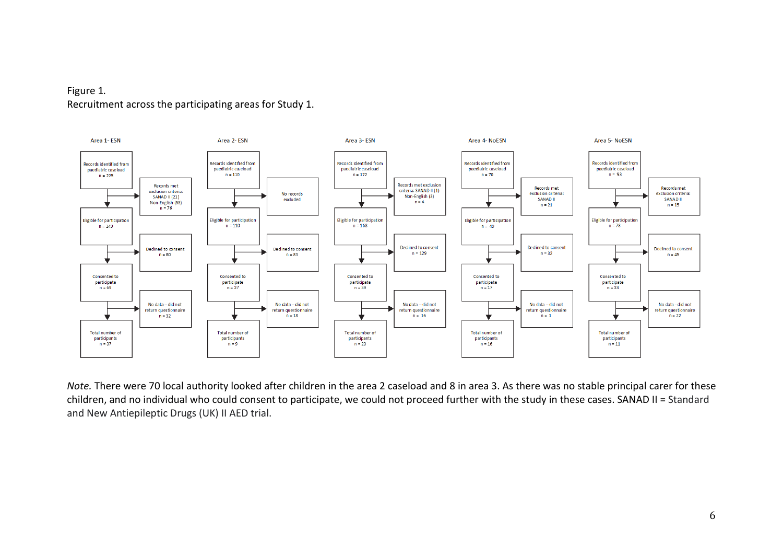# Figure 1*.* Recruitment across the participating areas for Study 1.



*Note.* There were 70 local authority looked after children in the area 2 caseload and 8 in area 3. As there was no stable principal carer for these children, and no individual who could consent to participate, we could not proceed further with the study in these cases. SANAD II = Standard and New Antiepileptic Drugs (UK) II AED trial.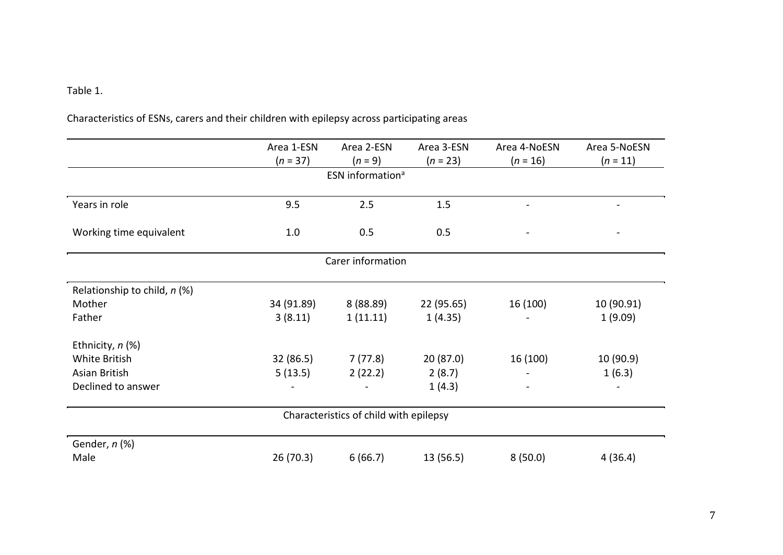# Table 1.

| Characteristics of ESNs, carers and their children with epilepsy across participating areas |  |
|---------------------------------------------------------------------------------------------|--|
|---------------------------------------------------------------------------------------------|--|

|                                        | Area 1-ESN | Area 2-ESN        | Area 3-ESN | Area 4-NoESN | Area 5-NoESN |  |  |
|----------------------------------------|------------|-------------------|------------|--------------|--------------|--|--|
|                                        | $(n = 37)$ | $(n = 9)$         | $(n = 23)$ | $(n = 16)$   | $(n = 11)$   |  |  |
| ESN information <sup>a</sup>           |            |                   |            |              |              |  |  |
|                                        |            |                   |            |              |              |  |  |
| Years in role                          | 9.5        | 2.5               | 1.5        |              |              |  |  |
|                                        |            |                   |            |              |              |  |  |
| Working time equivalent                | 1.0        | 0.5               | 0.5        |              |              |  |  |
|                                        |            | Carer information |            |              |              |  |  |
|                                        |            |                   |            |              |              |  |  |
| Relationship to child, n (%)           |            |                   |            |              |              |  |  |
| Mother                                 | 34 (91.89) | 8(88.89)          | 22 (95.65) | 16 (100)     | 10 (90.91)   |  |  |
| Father                                 | 3(8.11)    | 1(11.11)          | 1(4.35)    |              | 1(9.09)      |  |  |
| Ethnicity, n (%)                       |            |                   |            |              |              |  |  |
| White British                          | 32 (86.5)  | 7 (77.8)          | 20(87.0)   | 16 (100)     | 10(90.9)     |  |  |
| Asian British                          | 5(13.5)    | 2(22.2)           | 2(8.7)     |              | 1(6.3)       |  |  |
| Declined to answer                     |            |                   | 1(4.3)     |              |              |  |  |
| Characteristics of child with epilepsy |            |                   |            |              |              |  |  |
|                                        |            |                   |            |              |              |  |  |
| Gender, n (%)                          |            |                   |            |              |              |  |  |
| Male                                   | 26(70.3)   | 6(66.7)           | 13(56.5)   | 8(50.0)      | 4(36.4)      |  |  |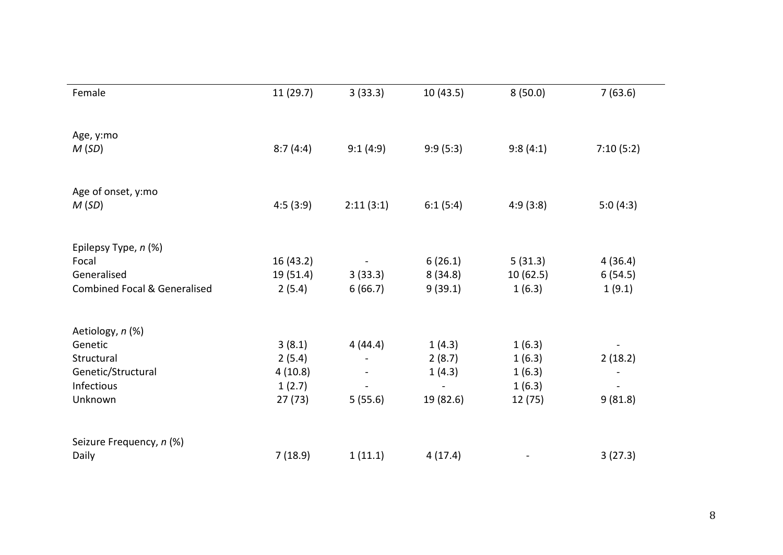| Female                                  | 11 (29.7) | 3(33.3)   | 10(43.5)  | 8(50.0)   | 7(63.6)   |
|-----------------------------------------|-----------|-----------|-----------|-----------|-----------|
| Age, y:mo<br>M(SD)                      | 8:7(4:4)  | 9:1(4:9)  | 9:9(5:3)  | 9:8(4:1)  | 7:10(5:2) |
| Age of onset, y:mo                      |           |           |           |           |           |
| M(SD)                                   | 4:5(3:9)  | 2:11(3:1) | 6:1(5:4)  | 4:9(3:8)  | 5:0(4:3)  |
| Epilepsy Type, n (%)                    |           |           |           |           |           |
| Focal                                   | 16(43.2)  |           | 6(26.1)   | 5(31.3)   | 4(36.4)   |
| Generalised                             | 19(51.4)  | 3(33.3)   | 8(34.8)   | 10 (62.5) | 6(54.5)   |
| <b>Combined Focal &amp; Generalised</b> | 2(5.4)    | 6(66.7)   | 9(39.1)   | 1(6.3)    | 1(9.1)    |
| Aetiology, n (%)                        |           |           |           |           |           |
| Genetic                                 | 3(8.1)    | 4(44.4)   | 1(4.3)    | 1(6.3)    |           |
| Structural                              | 2(5.4)    |           | 2(8.7)    | 1(6.3)    | 2(18.2)   |
| Genetic/Structural                      | 4(10.8)   |           | 1(4.3)    | 1(6.3)    |           |
| Infectious                              | 1(2.7)    |           |           | 1(6.3)    |           |
| Unknown                                 | 27(73)    | 5(55.6)   | 19 (82.6) | 12 (75)   | 9(81.8)   |
| Seizure Frequency, n (%)                |           |           |           |           |           |
| Daily                                   | 7(18.9)   | 1(11.1)   | 4(17.4)   |           | 3(27.3)   |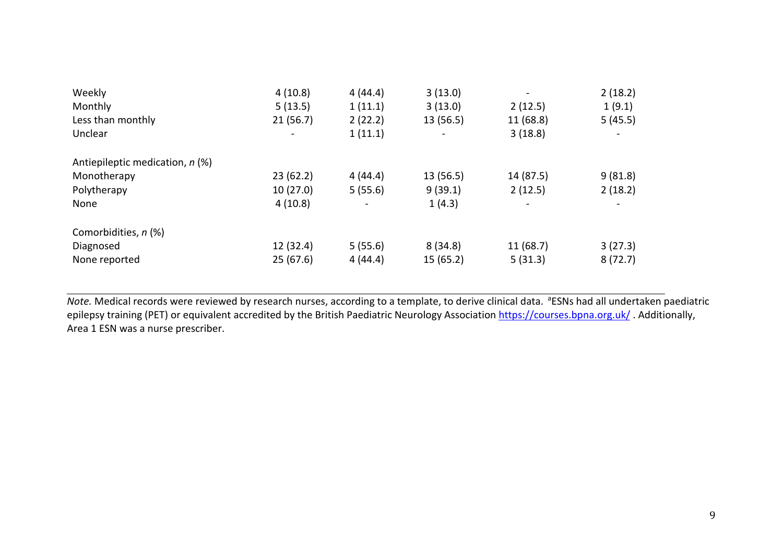| Weekly                          | 4(10.8)   | 4(44.4) | 3(13.0)   | $\blacksquare$           | 2(18.2) |
|---------------------------------|-----------|---------|-----------|--------------------------|---------|
| Monthly                         | 5(13.5)   | 1(11.1) | 3(13.0)   | 2(12.5)                  | 1(9.1)  |
| Less than monthly               | 21(56.7)  | 2(22.2) | 13 (56.5) | 11 (68.8)                | 5(45.5) |
| Unclear                         |           | 1(11.1) |           | 3(18.8)                  |         |
| Antiepileptic medication, n (%) |           |         |           |                          |         |
| Monotherapy                     | 23(62.2)  | 4(44.4) | 13 (56.5) | 14 (87.5)                | 9(81.8) |
| Polytherapy                     | 10(27.0)  | 5(55.6) | 9(39.1)   | 2(12.5)                  | 2(18.2) |
| None                            | 4(10.8)   |         | 1(4.3)    | $\overline{\phantom{0}}$ |         |
| Comorbidities, n (%)            |           |         |           |                          |         |
| Diagnosed                       | 12 (32.4) | 5(55.6) | 8(34.8)   | 11(68.7)                 | 3(27.3) |
| None reported                   | 25(67.6)  | 4(44.4) | 15(65.2)  | 5(31.3)                  | 8(72.7) |

Note. Medical records were reviewed by research nurses, according to a template, to derive clinical data. <sup>a</sup>ESNs had all undertaken paediatric epilepsy training (PET) or equivalent accredited by the British Paediatric Neurology Association<https://courses.bpna.org.uk/>. Additionally, Area 1 ESN was a nurse prescriber.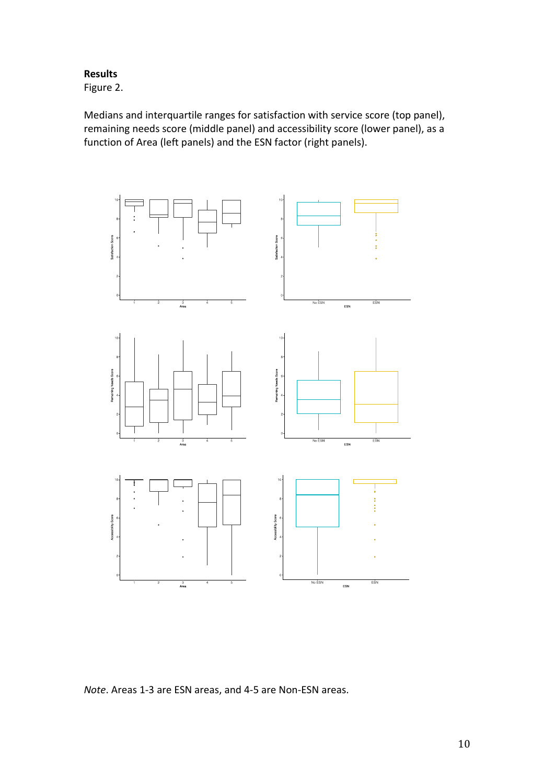## **Results**

Figure 2.

Medians and interquartile ranges for satisfaction with service score (top panel), remaining needs score (middle panel) and accessibility score (lower panel), as a function of Area (left panels) and the ESN factor (right panels).



*Note*. Areas 1-3 are ESN areas, and 4-5 are Non-ESN areas.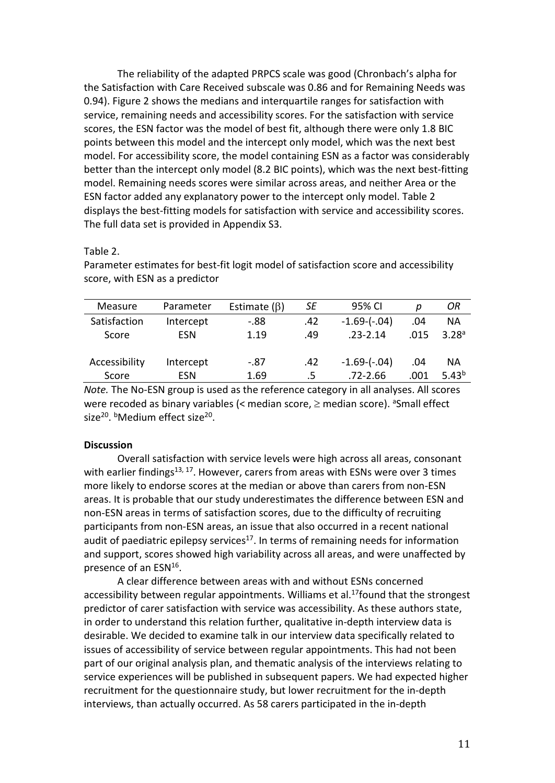The reliability of the adapted PRPCS scale was good (Chronbach's alpha for the Satisfaction with Care Received subscale was 0.86 and for Remaining Needs was 0.94). Figure 2 shows the medians and interquartile ranges for satisfaction with service, remaining needs and accessibility scores. For the satisfaction with service scores, the ESN factor was the model of best fit, although there were only 1.8 BIC points between this model and the intercept only model, which was the next best model. For accessibility score, the model containing ESN as a factor was considerably better than the intercept only model (8.2 BIC points), which was the next best-fitting model. Remaining needs scores were similar across areas, and neither Area or the ESN factor added any explanatory power to the intercept only model. Table 2 displays the best-fitting models for satisfaction with service and accessibility scores. The full data set is provided in Appendix S3.

## Table 2.

| Measure       | Parameter  | Estimate $(\beta)$ | SE  | 95% CI             | D    | ОR                |
|---------------|------------|--------------------|-----|--------------------|------|-------------------|
| Satisfaction  | Intercept  | $-88$              | .42 | $-1.69$ - $(-.04)$ | .04  | ΝA                |
| Score         | <b>ESN</b> | 1.19               | .49 | $.23 - 2.14$       | .015 | 3.28 <sup>a</sup> |
|               |            |                    |     |                    |      |                   |
| Accessibility | Intercept  | $-.87$             | .42 | $-1.69$ - $(-.04)$ | .04  | <b>NA</b>         |
| Score         | <b>ESN</b> | 1.69               | .5  | $.72 - 2.66$       | .001 | $5.43^{b}$        |

Parameter estimates for best-fit logit model of satisfaction score and accessibility score, with ESN as a predictor

*Note.* The No-ESN group is used as the reference category in all analyses. All scores were recoded as binary variables (< median score, ≥ median score). <sup>a</sup>Small effect size<sup>20</sup>. *b***Medium effect size**<sup>20</sup>.

## **Discussion**

Overall satisfaction with service levels were high across all areas, consonant with earlier findings<sup>13, 17</sup>. However, carers from areas with ESNs were over 3 times more likely to endorse scores at the median or above than carers from non-ESN areas. It is probable that our study underestimates the difference between ESN and non-ESN areas in terms of satisfaction scores, due to the difficulty of recruiting participants from non-ESN areas, an issue that also occurred in a recent national audit of paediatric epilepsy services $17$ . In terms of remaining needs for information and support, scores showed high variability across all areas, and were unaffected by presence of an ESN16.

A clear difference between areas with and without ESNs concerned accessibility between regular appointments. Williams et al.<sup>17</sup> found that the strongest predictor of carer satisfaction with service was accessibility. As these authors state, in order to understand this relation further, qualitative in-depth interview data is desirable. We decided to examine talk in our interview data specifically related to issues of accessibility of service between regular appointments. This had not been part of our original analysis plan, and thematic analysis of the interviews relating to service experiences will be published in subsequent papers. We had expected higher recruitment for the questionnaire study, but lower recruitment for the in-depth interviews, than actually occurred. As 58 carers participated in the in-depth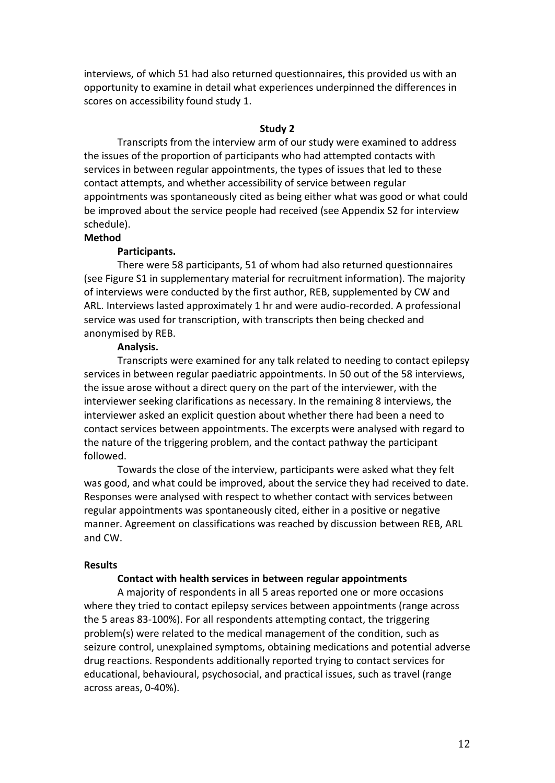interviews, of which 51 had also returned questionnaires, this provided us with an opportunity to examine in detail what experiences underpinned the differences in scores on accessibility found study 1.

## **Study 2**

Transcripts from the interview arm of our study were examined to address the issues of the proportion of participants who had attempted contacts with services in between regular appointments, the types of issues that led to these contact attempts, and whether accessibility of service between regular appointments was spontaneously cited as being either what was good or what could be improved about the service people had received (see Appendix S2 for interview schedule).

## **Method**

## **Participants.**

There were 58 participants, 51 of whom had also returned questionnaires (see Figure S1 in supplementary material for recruitment information). The majority of interviews were conducted by the first author, REB, supplemented by CW and ARL. Interviews lasted approximately 1 hr and were audio-recorded. A professional service was used for transcription, with transcripts then being checked and anonymised by REB.

## **Analysis.**

Transcripts were examined for any talk related to needing to contact epilepsy services in between regular paediatric appointments. In 50 out of the 58 interviews, the issue arose without a direct query on the part of the interviewer, with the interviewer seeking clarifications as necessary. In the remaining 8 interviews, the interviewer asked an explicit question about whether there had been a need to contact services between appointments. The excerpts were analysed with regard to the nature of the triggering problem, and the contact pathway the participant followed.

Towards the close of the interview, participants were asked what they felt was good, and what could be improved, about the service they had received to date. Responses were analysed with respect to whether contact with services between regular appointments was spontaneously cited, either in a positive or negative manner. Agreement on classifications was reached by discussion between REB, ARL and CW.

## **Results**

#### **Contact with health services in between regular appointments**

A majority of respondents in all 5 areas reported one or more occasions where they tried to contact epilepsy services between appointments (range across the 5 areas 83-100%). For all respondents attempting contact, the triggering problem(s) were related to the medical management of the condition, such as seizure control, unexplained symptoms, obtaining medications and potential adverse drug reactions. Respondents additionally reported trying to contact services for educational, behavioural, psychosocial, and practical issues, such as travel (range across areas, 0-40%).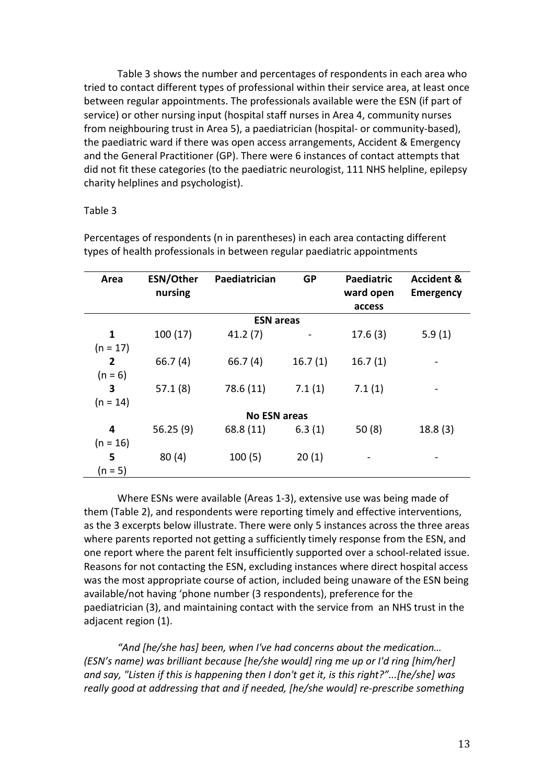Table 3 shows the number and percentages of respondents in each area who tried to contact different types of professional within their service area, at least once between regular appointments. The professionals available were the ESN (if part of service) or other nursing input (hospital staff nurses in Area 4, community nurses from neighbouring trust in Area 5), a paediatrician (hospital- or community-based), the paediatric ward if there was open access arrangements, Accident & Emergency and the General Practitioner (GP). There were 6 instances of contact attempts that did not fit these categories (to the paediatric neurologist, 111 NHS helpline, epilepsy charity helplines and psychologist).

## Table 3

| Area                | ESN/Other<br>nursing | Paediatrician    | <b>GP</b> | Paediatric<br>ward open<br>access | <b>Accident &amp;</b><br><b>Emergency</b> |  |
|---------------------|----------------------|------------------|-----------|-----------------------------------|-------------------------------------------|--|
|                     |                      | <b>ESN</b> areas |           |                                   |                                           |  |
| 1                   | 100(17)              | 41.2(7)          |           | 17.6(3)                           | 5.9(1)                                    |  |
| $(n = 17)$          |                      |                  |           |                                   |                                           |  |
| $\overline{2}$      | 66.7(4)              | 66.7(4)          | 16.7(1)   | 16.7(1)                           |                                           |  |
| $(n = 6)$           |                      |                  |           |                                   |                                           |  |
| 3                   | 57.1(8)              | 78.6 (11)        | 7.1(1)    | 7.1(1)                            |                                           |  |
| $(n = 14)$          |                      |                  |           |                                   |                                           |  |
| <b>No ESN areas</b> |                      |                  |           |                                   |                                           |  |
| 4                   | 56.25(9)             | 68.8 (11)        | 6.3(1)    | 50(8)                             | 18.8(3)                                   |  |
| $(n = 16)$          |                      |                  |           |                                   |                                           |  |
| 5                   | 80(4)                | 100(5)           | 20(1)     |                                   |                                           |  |
| $(n = 5)$           |                      |                  |           |                                   |                                           |  |

Percentages of respondents (n in parentheses) in each area contacting different types of health professionals in between regular paediatric appointments

Where ESNs were available (Areas 1-3), extensive use was being made of them (Table 2), and respondents were reporting timely and effective interventions, as the 3 excerpts below illustrate. There were only 5 instances across the three areas where parents reported not getting a sufficiently timely response from the ESN, and one report where the parent felt insufficiently supported over a school-related issue. Reasons for not contacting the ESN, excluding instances where direct hospital access was the most appropriate course of action, included being unaware of the ESN being available/not having 'phone number (3 respondents), preference for the paediatrician (3), and maintaining contact with the service from an NHS trust in the adjacent region (1).

*"And [he/she has] been, when I've had concerns about the medication… (ESN's name) was brilliant because [he/she would] ring me up or I'd ring [him/her] and say, "Listen if this is happening then I don't get it, is this right?"...[he/she] was really good at addressing that and if needed, [he/she would] re-prescribe something*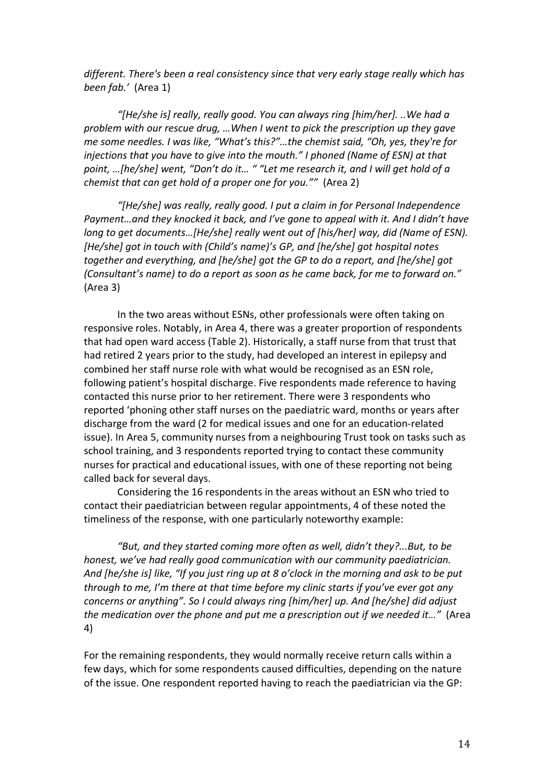*different. There's been a real consistency since that very early stage really which has been fab.'* (Area 1)

*"[He/she is] really, really good. You can always ring [him/her]. ..We had a problem with our rescue drug, …When I went to pick the prescription up they gave me some needles. I was like, "What's this?"…the chemist said, "Oh, yes, they're for injections that you have to give into the mouth." I phoned (Name of ESN) at that point, …[he/she] went, "Don't do it… " "Let me research it, and I will get hold of a chemist that can get hold of a proper one for you.""* (Area 2)

*"[He/she] was really, really good. I put a claim in for Personal Independence Payment…and they knocked it back, and I've gone to appeal with it. And I didn't have long to get documents…[He/she] really went out of [his/her] way, did (Name of ESN). [He/she] got in touch with (Child's name)'s GP, and [he/she] got hospital notes together and everything, and [he/she] got the GP to do a report, and [he/she] got (Consultant's name) to do a report as soon as he came back, for me to forward on."* (Area 3)

In the two areas without ESNs, other professionals were often taking on responsive roles. Notably, in Area 4, there was a greater proportion of respondents that had open ward access (Table 2). Historically, a staff nurse from that trust that had retired 2 years prior to the study, had developed an interest in epilepsy and combined her staff nurse role with what would be recognised as an ESN role, following patient's hospital discharge. Five respondents made reference to having contacted this nurse prior to her retirement. There were 3 respondents who reported 'phoning other staff nurses on the paediatric ward, months or years after discharge from the ward (2 for medical issues and one for an education-related issue). In Area 5, community nurses from a neighbouring Trust took on tasks such as school training, and 3 respondents reported trying to contact these community nurses for practical and educational issues, with one of these reporting not being called back for several days.

Considering the 16 respondents in the areas without an ESN who tried to contact their paediatrician between regular appointments, 4 of these noted the timeliness of the response, with one particularly noteworthy example:

*"But, and they started coming more often as well, didn't they?...But, to be honest, we've had really good communication with our community paediatrician. And [he/she is] like, "If you just ring up at 8 o'clock in the morning and ask to be put through to me, I'm there at that time before my clinic starts if you've ever got any concerns or anything". So I could always ring [him/her] up. And [he/she] did adjust the medication over the phone and put me a prescription out if we needed it…"* (Area 4)

For the remaining respondents, they would normally receive return calls within a few days, which for some respondents caused difficulties, depending on the nature of the issue. One respondent reported having to reach the paediatrician via the GP: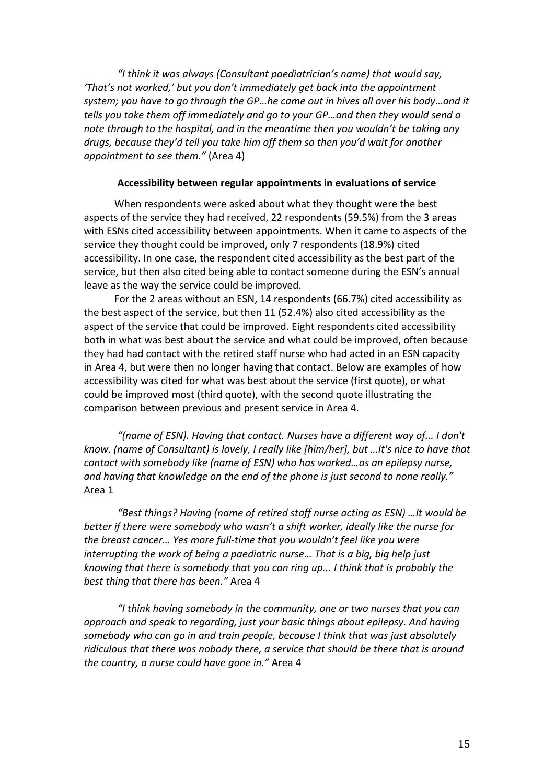*"I think it was always (Consultant paediatrician's name) that would say, 'That's not worked,' but you don't immediately get back into the appointment system; you have to go through the GP…he came out in hives all over his body…and it tells you take them off immediately and go to your GP…and then they would send a note through to the hospital, and in the meantime then you wouldn't be taking any drugs, because they'd tell you take him off them so then you'd wait for another appointment to see them."* (Area 4)

## **Accessibility between regular appointments in evaluations of service**

When respondents were asked about what they thought were the best aspects of the service they had received, 22 respondents (59.5%) from the 3 areas with ESNs cited accessibility between appointments. When it came to aspects of the service they thought could be improved, only 7 respondents (18.9%) cited accessibility. In one case, the respondent cited accessibility as the best part of the service, but then also cited being able to contact someone during the ESN's annual leave as the way the service could be improved.

For the 2 areas without an ESN, 14 respondents (66.7%) cited accessibility as the best aspect of the service, but then 11 (52.4%) also cited accessibility as the aspect of the service that could be improved. Eight respondents cited accessibility both in what was best about the service and what could be improved, often because they had had contact with the retired staff nurse who had acted in an ESN capacity in Area 4, but were then no longer having that contact. Below are examples of how accessibility was cited for what was best about the service (first quote), or what could be improved most (third quote), with the second quote illustrating the comparison between previous and present service in Area 4.

*"(name of ESN). Having that contact. Nurses have a different way of... I don't know. (name of Consultant) is lovely, I really like [him/her], but …It's nice to have that contact with somebody like (name of ESN) who has worked…as an epilepsy nurse, and having that knowledge on the end of the phone is just second to none really."*  Area 1

*"Best things? Having (name of retired staff nurse acting as ESN) …It would be better if there were somebody who wasn't a shift worker, ideally like the nurse for the breast cancer… Yes more full-time that you wouldn't feel like you were interrupting the work of being a paediatric nurse… That is a big, big help just knowing that there is somebody that you can ring up... I think that is probably the best thing that there has been."* Area 4

*"I think having somebody in the community, one or two nurses that you can approach and speak to regarding, just your basic things about epilepsy. And having somebody who can go in and train people, because I think that was just absolutely ridiculous that there was nobody there, a service that should be there that is around the country, a nurse could have gone in."* Area 4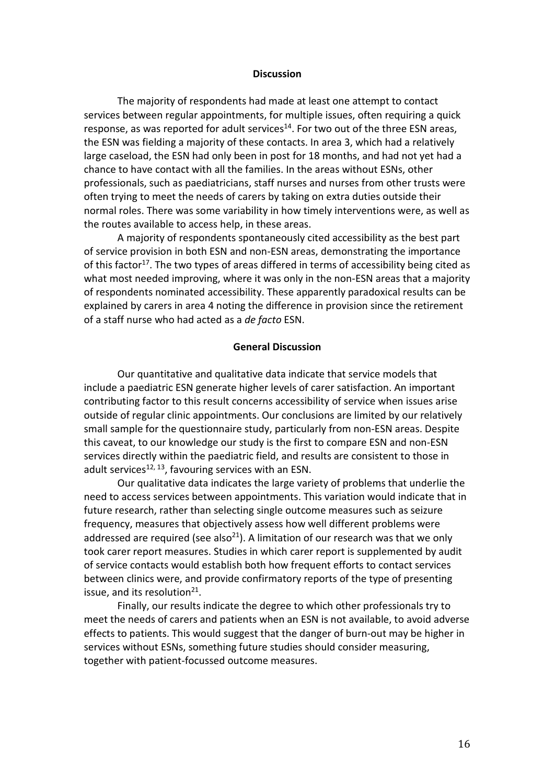#### **Discussion**

The majority of respondents had made at least one attempt to contact services between regular appointments, for multiple issues, often requiring a quick response, as was reported for adult services<sup>14</sup>. For two out of the three ESN areas, the ESN was fielding a majority of these contacts. In area 3, which had a relatively large caseload, the ESN had only been in post for 18 months, and had not yet had a chance to have contact with all the families. In the areas without ESNs, other professionals, such as paediatricians, staff nurses and nurses from other trusts were often trying to meet the needs of carers by taking on extra duties outside their normal roles. There was some variability in how timely interventions were, as well as the routes available to access help, in these areas.

A majority of respondents spontaneously cited accessibility as the best part of service provision in both ESN and non-ESN areas, demonstrating the importance of this factor<sup>17</sup>. The two types of areas differed in terms of accessibility being cited as what most needed improving, where it was only in the non-ESN areas that a majority of respondents nominated accessibility. These apparently paradoxical results can be explained by carers in area 4 noting the difference in provision since the retirement of a staff nurse who had acted as a *de facto* ESN.

## **General Discussion**

Our quantitative and qualitative data indicate that service models that include a paediatric ESN generate higher levels of carer satisfaction. An important contributing factor to this result concerns accessibility of service when issues arise outside of regular clinic appointments. Our conclusions are limited by our relatively small sample for the questionnaire study, particularly from non-ESN areas. Despite this caveat, to our knowledge our study is the first to compare ESN and non-ESN services directly within the paediatric field, and results are consistent to those in adult services<sup>12, 13</sup>, favouring services with an ESN.

Our qualitative data indicates the large variety of problems that underlie the need to access services between appointments. This variation would indicate that in future research, rather than selecting single outcome measures such as seizure frequency, measures that objectively assess how well different problems were addressed are required (see also<sup>21</sup>). A limitation of our research was that we only took carer report measures. Studies in which carer report is supplemented by audit of service contacts would establish both how frequent efforts to contact services between clinics were, and provide confirmatory reports of the type of presenting issue, and its resolution $21$ .

Finally, our results indicate the degree to which other professionals try to meet the needs of carers and patients when an ESN is not available, to avoid adverse effects to patients. This would suggest that the danger of burn-out may be higher in services without ESNs, something future studies should consider measuring, together with patient-focussed outcome measures.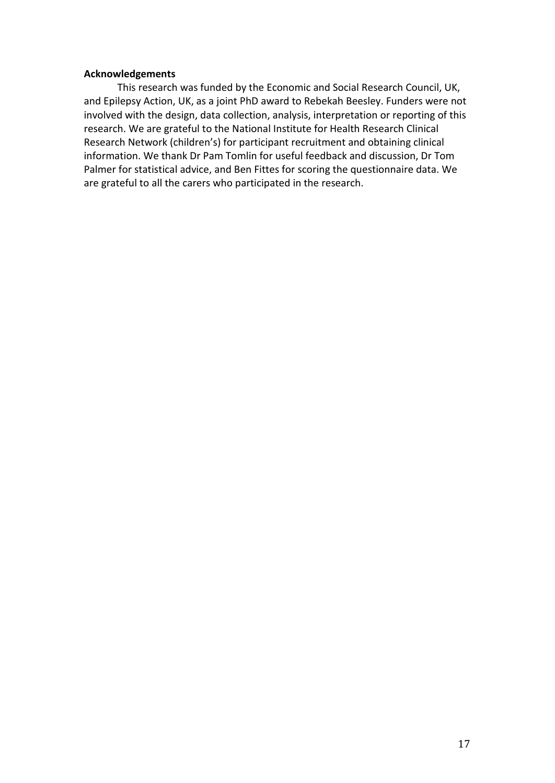## **Acknowledgements**

This research was funded by the Economic and Social Research Council, UK, and Epilepsy Action, UK, as a joint PhD award to Rebekah Beesley. Funders were not involved with the design, data collection, analysis, interpretation or reporting of this research. We are grateful to the National Institute for Health Research Clinical Research Network (children's) for participant recruitment and obtaining clinical information. We thank Dr Pam Tomlin for useful feedback and discussion, Dr Tom Palmer for statistical advice, and Ben Fittes for scoring the questionnaire data. We are grateful to all the carers who participated in the research.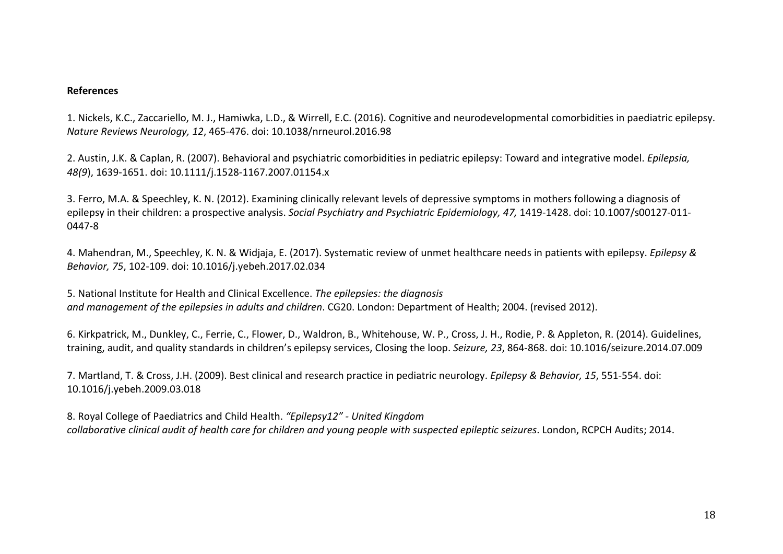## **References**

1. Nickels, K.C., Zaccariello, M. J., Hamiwka, L.D., & Wirrell, E.C. (2016). Cognitive and neurodevelopmental comorbidities in paediatric epilepsy. *Nature Reviews Neurology, 12*, 465-476. doi: 10.1038/nrneurol.2016.98

2. Austin, J.K. & Caplan, R. (2007). Behavioral and psychiatric comorbidities in pediatric epilepsy: Toward and integrative model. *Epilepsia, 48(9*), 1639-1651. doi: 10.1111/j.1528-1167.2007.01154.x

3. Ferro, M.A. & Speechley, K. N. (2012). Examining clinically relevant levels of depressive symptoms in mothers following a diagnosis of epilepsy in their children: a prospective analysis. *Social Psychiatry and Psychiatric Epidemiology, 47,* 1419-1428. doi: 10.1007/s00127-011- 0447-8

4. Mahendran, M., Speechley, K. N. & Widjaja, E. (2017). Systematic review of unmet healthcare needs in patients with epilepsy. *Epilepsy & Behavior, 75*, 102-109. doi: 10.1016/j.yebeh.2017.02.034

5. National Institute for Health and Clinical Excellence. *The epilepsies: the diagnosis and management of the epilepsies in adults and children*. CG20. London: Department of Health; 2004. (revised 2012).

6. Kirkpatrick, M., Dunkley, C., Ferrie, C., Flower, D., Waldron, B., Whitehouse, W. P., Cross, J. H., Rodie, P. & Appleton, R. (2014). Guidelines, training, audit, and quality standards in children's epilepsy services, Closing the loop. *Seizure, 23*, 864-868. doi: 10.1016/seizure.2014.07.009

7. Martland, T. & Cross, J.H. (2009). Best clinical and research practice in pediatric neurology. *Epilepsy & Behavior, 15*, 551-554. doi: 10.1016/j.yebeh.2009.03.018

8. Royal College of Paediatrics and Child Health. *"Epilepsy12" - United Kingdom collaborative clinical audit of health care for children and young people with suspected epileptic seizures*. London, RCPCH Audits; 2014.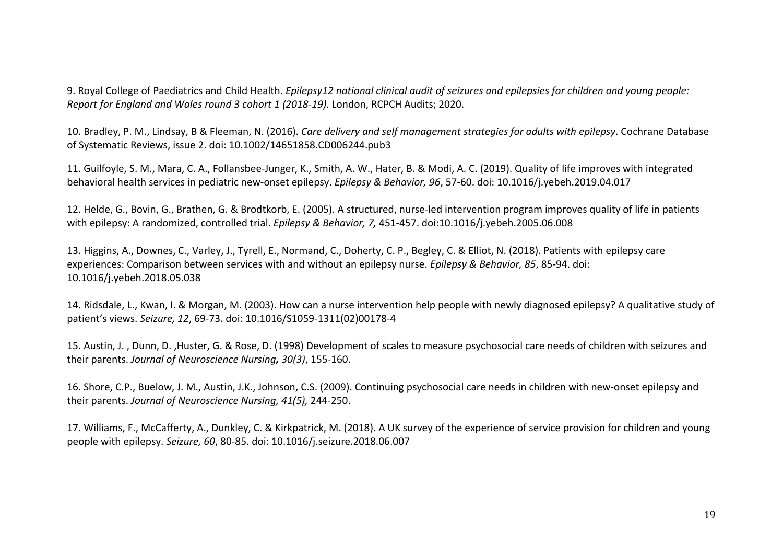9. Royal College of Paediatrics and Child Health. *Epilepsy12 national clinical audit of seizures and epilepsies for children and young people: Report for England and Wales round 3 cohort 1 (2018-19)*. London, RCPCH Audits; 2020.

10. Bradley, P. M., Lindsay, B & Fleeman, N. (2016). *Care delivery and self management strategies for adults with epilepsy*. Cochrane Database of Systematic Reviews, issue 2. doi: 10.1002/14651858.CD006244.pub3

11. Guilfoyle, S. M., Mara, C. A., Follansbee-Junger, K., Smith, A. W., Hater, B. & Modi, A. C. (2019). Quality of life improves with integrated behavioral health services in pediatric new-onset epilepsy. *Epilepsy & Behavior, 96*, 57-60. doi: 10.1016/j.yebeh.2019.04.017

12. Helde, G., Bovin, G., Brathen, G. & Brodtkorb, E. (2005). A structured, nurse-led intervention program improves quality of life in patients with epilepsy: A randomized, controlled trial. *Epilepsy & Behavior, 7,* 451-457. doi:10.1016/j.yebeh.2005.06.008

13. Higgins, A., Downes, C., Varley, J., Tyrell, E., Normand, C., Doherty, C. P., Begley, C. & Elliot, N. (2018). Patients with epilepsy care experiences: Comparison between services with and without an epilepsy nurse. *Epilepsy & Behavior, 85*, 85-94. doi: 10.1016/j.yebeh.2018.05.038

14. Ridsdale, L., Kwan, I. & Morgan, M. (2003). How can a nurse intervention help people with newly diagnosed epilepsy? A qualitative study of patient's views. *Seizure, 12*, 69-73. doi: 10.1016/S1059-1311(02)00178-4

15. Austin, J. , Dunn, D. ,Huster, G. & Rose, D. (1998) Development of scales to measure psychosocial care needs of children with seizures and their parents. *Journal of Neuroscience Nursing, 30(3)*, 155-160.

16. Shore, C.P., Buelow, J. M., Austin, J.K., Johnson, C.S. (2009). Continuing psychosocial care needs in children with new-onset epilepsy and their parents. *Journal of Neuroscience Nursing, 41(5),* 244-250.

17. Williams, F., McCafferty, A., Dunkley, C. & Kirkpatrick, M. (2018). A UK survey of the experience of service provision for children and young people with epilepsy. *Seizure, 60*, 80-85. doi: 10.1016/j.seizure.2018.06.007